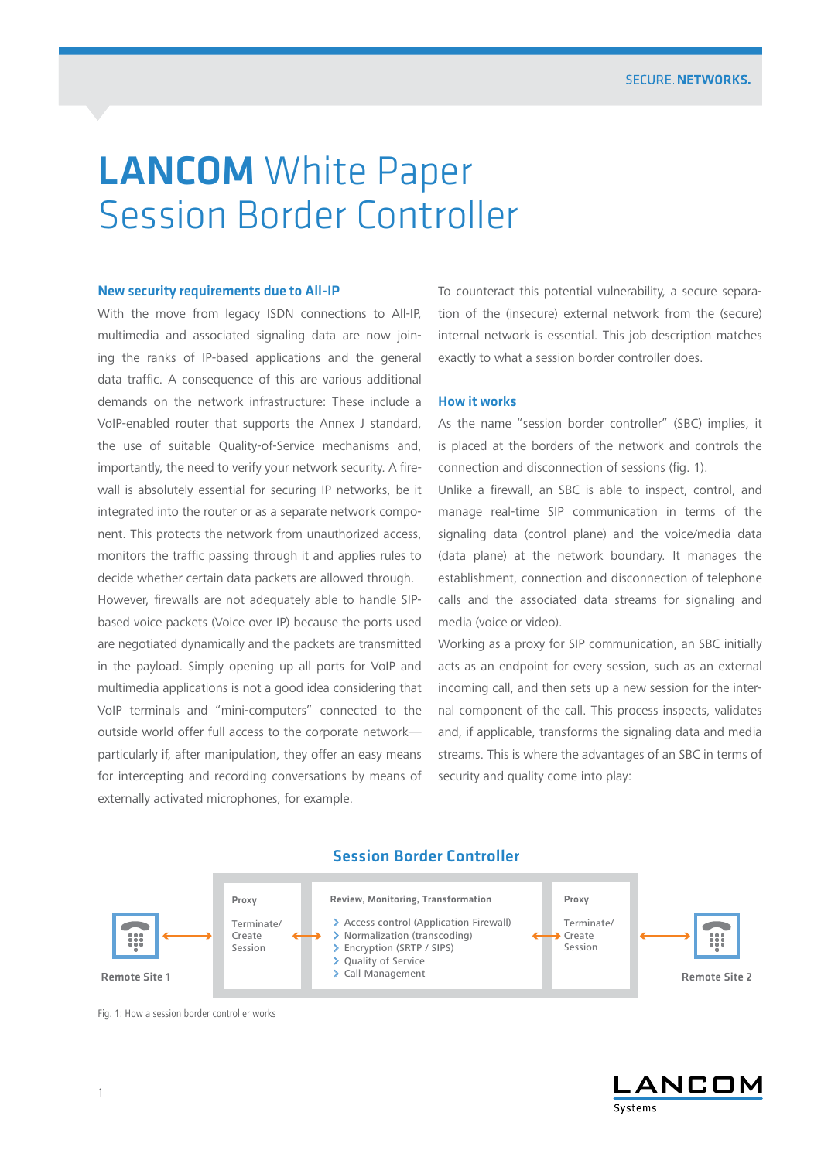# **LANCOM** White Paper Session Border Controller

#### New security requirements due to All-IP

With the move from legacy ISDN connections to All-IP, multimedia and associated signaling data are now joining the ranks of IP-based applications and the general data traffic. A consequence of this are various additional demands on the network infrastructure: These include a VoIP-enabled router that supports the Annex J standard, the use of suitable Quality-of-Service mechanisms and, importantly, the need to verify your network security. A firewall is absolutely essential for securing IP networks, be it integrated into the router or as a separate network component. This protects the network from unauthorized access, monitors the traffic passing through it and applies rules to decide whether certain data packets are allowed through.

However, firewalls are not adequately able to handle SIPbased voice packets (Voice over IP) because the ports used are negotiated dynamically and the packets are transmitted in the payload. Simply opening up all ports for VoIP and multimedia applications is not a good idea considering that VoIP terminals and "mini-computers" connected to the outside world offer full access to the corporate network particularly if, after manipulation, they offer an easy means for intercepting and recording conversations by means of externally activated microphones, for example.

To counteract this potential vulnerability, a secure separation of the (insecure) external network from the (secure) internal network is essential. This job description matches exactly to what a session border controller does.

#### How it works

As the name "session border controller" (SBC) implies, it is placed at the borders of the network and controls the connection and disconnection of sessions (fig. 1).

Unlike a firewall, an SBC is able to inspect, control, and manage real-time SIP communication in terms of the signaling data (control plane) and the voice/media data (data plane) at the network boundary. It manages the establishment, connection and disconnection of telephone calls and the associated data streams for signaling and media (voice or video).

Working as a proxy for SIP communication, an SBC initially acts as an endpoint for every session, such as an external incoming call, and then sets up a new session for the internal component of the call. This process inspects, validates and, if applicable, transforms the signaling data and media streams. This is where the advantages of an SBC in terms of security and quality come into play:



# Session Border Controller

Fig. 1: How a session border controller works

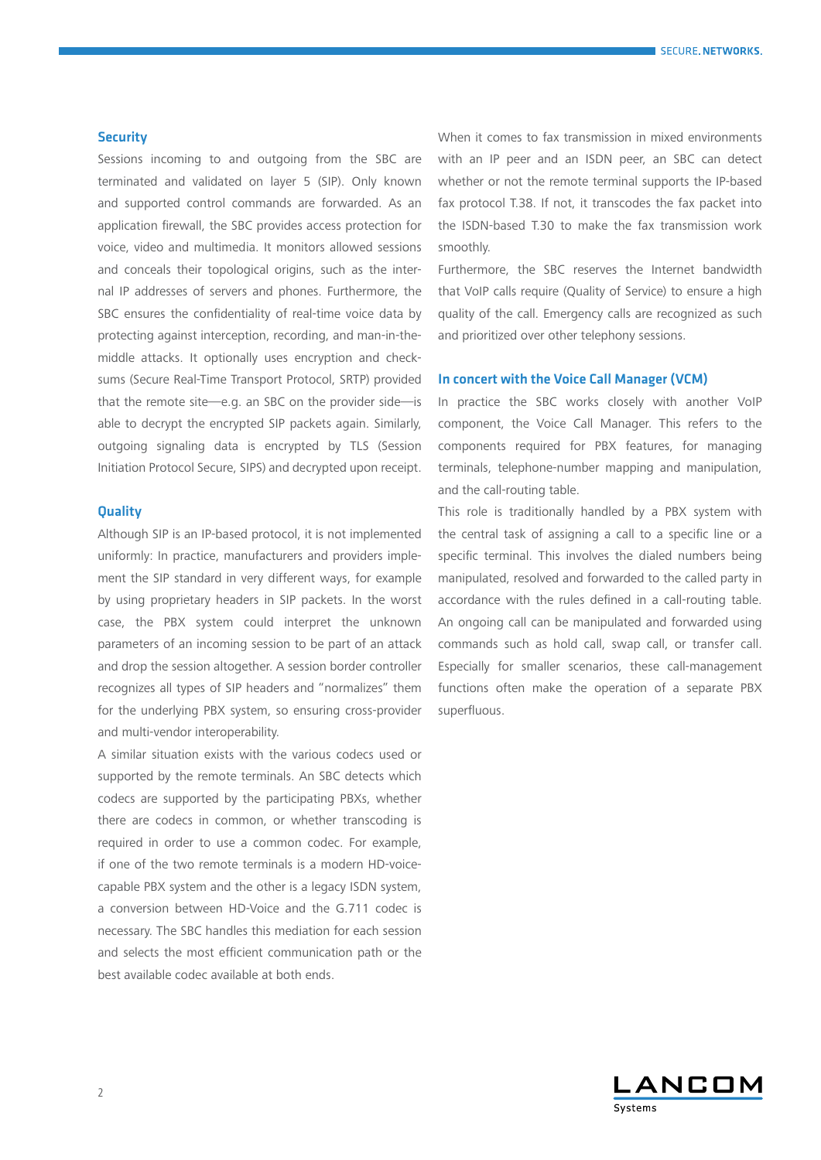#### SECURE NETWORKS

### **Security**

Sessions incoming to and outgoing from the SBC are terminated and validated on layer 5 (SIP). Only known and supported control commands are forwarded. As an application firewall, the SBC provides access protection for voice, video and multimedia. It monitors allowed sessions and conceals their topological origins, such as the internal IP addresses of servers and phones. Furthermore, the SBC ensures the confidentiality of real-time voice data by protecting against interception, recording, and man-in-themiddle attacks. It optionally uses encryption and checksums (Secure Real-Time Transport Protocol, SRTP) provided that the remote site—e.g. an SBC on the provider side—is able to decrypt the encrypted SIP packets again. Similarly, outgoing signaling data is encrypted by TLS (Session Initiation Protocol Secure, SIPS) and decrypted upon receipt.

# **Quality**

Although SIP is an IP-based protocol, it is not implemented uniformly: In practice, manufacturers and providers implement the SIP standard in very different ways, for example by using proprietary headers in SIP packets. In the worst case, the PBX system could interpret the unknown parameters of an incoming session to be part of an attack and drop the session altogether. A session border controller recognizes all types of SIP headers and "normalizes" them for the underlying PBX system, so ensuring cross-provider and multi-vendor interoperability.

A similar situation exists with the various codecs used or supported by the remote terminals. An SBC detects which codecs are supported by the participating PBXs, whether there are codecs in common, or whether transcoding is required in order to use a common codec. For example, if one of the two remote terminals is a modern HD-voicecapable PBX system and the other is a legacy ISDN system, a conversion between HD-Voice and the G.711 codec is necessary. The SBC handles this mediation for each session and selects the most efficient communication path or the best available codec available at both ends.

When it comes to fax transmission in mixed environments with an IP peer and an ISDN peer, an SBC can detect whether or not the remote terminal supports the IP-based fax protocol T.38. If not, it transcodes the fax packet into the ISDN-based T.30 to make the fax transmission work smoothly.

Furthermore, the SBC reserves the Internet bandwidth that VoIP calls require (Quality of Service) to ensure a high quality of the call. Emergency calls are recognized as such and prioritized over other telephony sessions.

# In concert with the Voice Call Manager (VCM)

In practice the SBC works closely with another VoIP component, the Voice Call Manager. This refers to the components required for PBX features, for managing terminals, telephone-number mapping and manipulation, and the call-routing table.

This role is traditionally handled by a PBX system with the central task of assigning a call to a specific line or a specific terminal. This involves the dialed numbers being manipulated, resolved and forwarded to the called party in accordance with the rules defined in a call-routing table. An ongoing call can be manipulated and forwarded using commands such as hold call, swap call, or transfer call. Especially for smaller scenarios, these call-management functions often make the operation of a separate PBX superfluous.

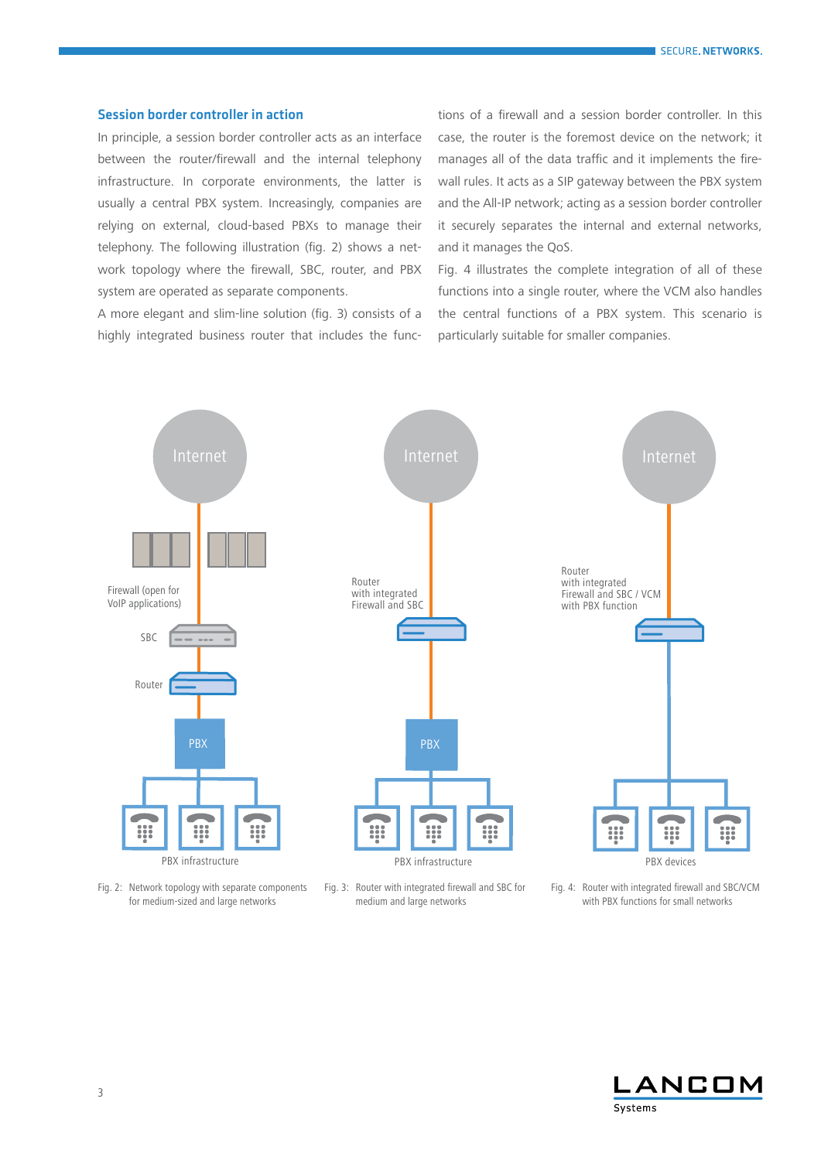#### Session border controller in action

In principle, a session border controller acts as an interface between the router/firewall and the internal telephony infrastructure. In corporate environments, the latter is usually a central PBX system. Increasingly, companies are relying on external, cloud-based PBXs to manage their telephony. The following illustration (fig. 2) shows a network topology where the firewall, SBC, router, and PBX system are operated as separate components.

A more elegant and slim-line solution (fig. 3) consists of a highly integrated business router that includes the functions of a firewall and a session border controller. In this case, the router is the foremost device on the network; it manages all of the data traffic and it implements the firewall rules. It acts as a SIP gateway between the PBX system and the All-IP network; acting as a session border controller it securely separates the internal and external networks, and it manages the QoS.

Fig. 4 illustrates the complete integration of all of these functions into a single router, where the VCM also handles the central functions of a PBX system. This scenario is particularly suitable for smaller companies.



Fig. 2: Network topology with separate components for medium-sized and large networks

Fig. 3: Router with integrated firewall and SBC for medium and large networks

Fig. 4: Router with integrated firewall and SBC/VCM with PBX functions for small networks